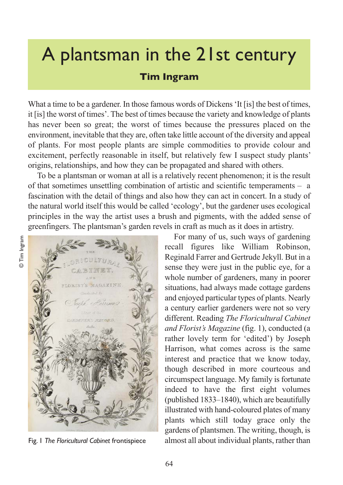## A plantsman in the 21st century

## **Tim Ingram**

What a time to be a gardener. In those famous words of Dickens 'It [is] the best of times, it [is] the worst of times'. The best of times because the variety and knowledge of plants has never been so great; the worst of times because the pressures placed on the environment, inevitable that they are, often take little account of the diversity and appeal of plants. For most people plants are simple commodities to provide colour and excitement, perfectly reasonable in itself, but relatively few I suspect study plants' origins, relationships, and how they can be propagated and shared with others.

To be a plantsman or woman at all is a relatively recent phenomenon; it is the result of that sometimes unsettling combination of artistic and scientific temperaments – a fascination with the detail of things and also how they can act in concert. In a study of the natural world itself this would be called 'ecology', but the gardener uses ecological principles in the way the artist uses a brush and pigments, with the added sense of greenfingers. The plantsman's garden revels in craft as much as it does in artistry.

© Tim Ingram © Tim Ingram

CULTUR FLORIST'S MAGAZINE C. Luts

Fig. 1 *The Floricultural Cabinet* frontispiece

For many of us, such ways of gardening recall figures like William Robinson, Reginald Farrer and Gertrude Jekyll. But in a sense they were just in the public eye, for a whole number of gardeners, many in poorer situations, had always made cottage gardens and enjoyed particular types of plants. Nearly a century earlier gardeners were not so very different. Reading *The Floricultural Cabinet and Florist's Magazine* (fig. 1), conducted (a rather lovely term for 'edited') by Joseph Harrison, what comes across is the same interest and practice that we know today, though described in more courteous and circumspect language. My family is fortunate indeed to have the first eight volumes (published 1833–1840), which are beautifully illustrated with hand-coloured plates of many plants which still today grace only the gardens of plantsmen. The writing, though, is almost all about individual plants, rather than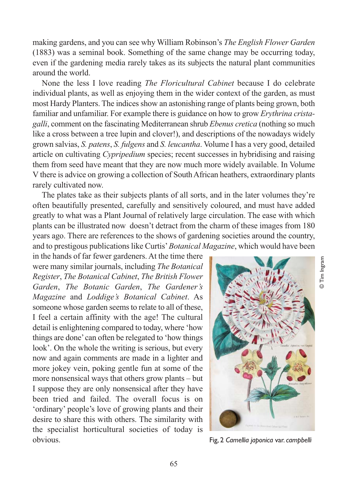making gardens, and you can see why William Robinson's *The English Flower Garden* (1883) was a seminal book. Something of the same change may be occurring today, even if the gardening media rarely takes as its subjects the natural plant communities around the world.

None the less I love reading *The Floricultural Cabinet* because I do celebrate individual plants, as well as enjoying them in the wider context of the garden, as must most Hardy Planters. The indices show an astonishing range of plants being grown, both familiar and unfamiliar. For example there is guidance on how to grow *Erythrina cristagalli*, comment on the fascinating Mediterranean shrub *Ebenus cretica* (nothing so much like a cross between a tree lupin and clover!), and descriptions of the nowadays widely grown salvias, *S. patens*, *S. fulgens* and *S. leucantha*. Volume I has a very good, detailed article on cultivating *Cypripedium* species; recent successes in hybridising and raising them from seed have meant that they are now much more widely available. In Volume V there is advice on growing a collection of South African heathers, extraordinary plants rarely cultivated now.

The plates take as their subjects plants of all sorts, and in the later volumes they're often beautifully presented, carefully and sensitively coloured, and must have added greatly to what was a Plant Journal of relatively large circulation. The ease with which plants can be illustrated now doesn't detract from the charm of these images from 180 years ago. There are references to the shows of gardening societies around the country, and to prestigous publications like Curtis' *Botanical Magazine*, which would have been

in the hands of far fewer gardeners. At the time there were many similar journals, including *The Botanical Register*, *The Botanical Cabinet*, *The British Flower Garden*, *The Botanic Garden*, *The Gardener's Magazine* and *Loddige's Botanical Cabinet*. As someone whose garden seems to relate to all of these, I feel a certain affinity with the age! The cultural detail is enlightening compared to today, where 'how things are done' can often be relegated to 'how things look'. On the whole the writing is serious, but every now and again comments are made in a lighter and more jokey vein, poking gentle fun at some of the more nonsensical ways that others grow plants – but I suppose they are only nonsensical after they have been tried and failed. The overall focus is on 'ordinary' people's love of growing plants and their desire to share this with others. The similarity with the specialist horticultural societies of today is obvious. Fig, 2 *Camellia japonica* var. *campbelli*



© Tim Ingram